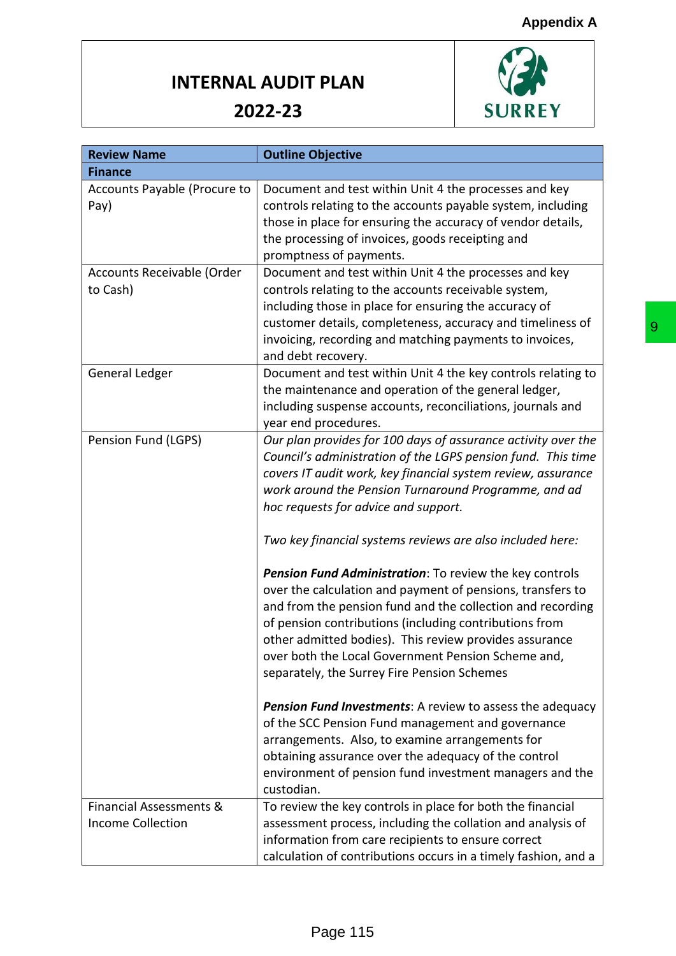

| <b>Review Name</b>           | <b>Outline Objective</b>                                         |
|------------------------------|------------------------------------------------------------------|
| <b>Finance</b>               |                                                                  |
| Accounts Payable (Procure to | Document and test within Unit 4 the processes and key            |
| Pay)                         | controls relating to the accounts payable system, including      |
|                              | those in place for ensuring the accuracy of vendor details,      |
|                              | the processing of invoices, goods receipting and                 |
|                              | promptness of payments.                                          |
| Accounts Receivable (Order   | Document and test within Unit 4 the processes and key            |
| to Cash)                     | controls relating to the accounts receivable system,             |
|                              | including those in place for ensuring the accuracy of            |
|                              | customer details, completeness, accuracy and timeliness of       |
|                              | invoicing, recording and matching payments to invoices,          |
|                              | and debt recovery.                                               |
| General Ledger               | Document and test within Unit 4 the key controls relating to     |
|                              | the maintenance and operation of the general ledger,             |
|                              | including suspense accounts, reconciliations, journals and       |
|                              | year end procedures.                                             |
| Pension Fund (LGPS)          | Our plan provides for 100 days of assurance activity over the    |
|                              | Council's administration of the LGPS pension fund. This time     |
|                              | covers IT audit work, key financial system review, assurance     |
|                              | work around the Pension Turnaround Programme, and ad             |
|                              | hoc requests for advice and support.                             |
|                              | Two key financial systems reviews are also included here:        |
|                              | Pension Fund Administration: To review the key controls          |
|                              | over the calculation and payment of pensions, transfers to       |
|                              | and from the pension fund and the collection and recording       |
|                              | of pension contributions (including contributions from           |
|                              | other admitted bodies). This review provides assurance           |
|                              | over both the Local Government Pension Scheme and,               |
|                              | separately, the Surrey Fire Pension Schemes                      |
|                              | <b>Pension Fund Investments:</b> A review to assess the adequacy |
|                              | of the SCC Pension Fund management and governance                |
|                              | arrangements. Also, to examine arrangements for                  |
|                              | obtaining assurance over the adequacy of the control             |
|                              | environment of pension fund investment managers and the          |
|                              | custodian.                                                       |
| Financial Assessments &      | To review the key controls in place for both the financial       |
| <b>Income Collection</b>     | assessment process, including the collation and analysis of      |
|                              | information from care recipients to ensure correct               |
|                              |                                                                  |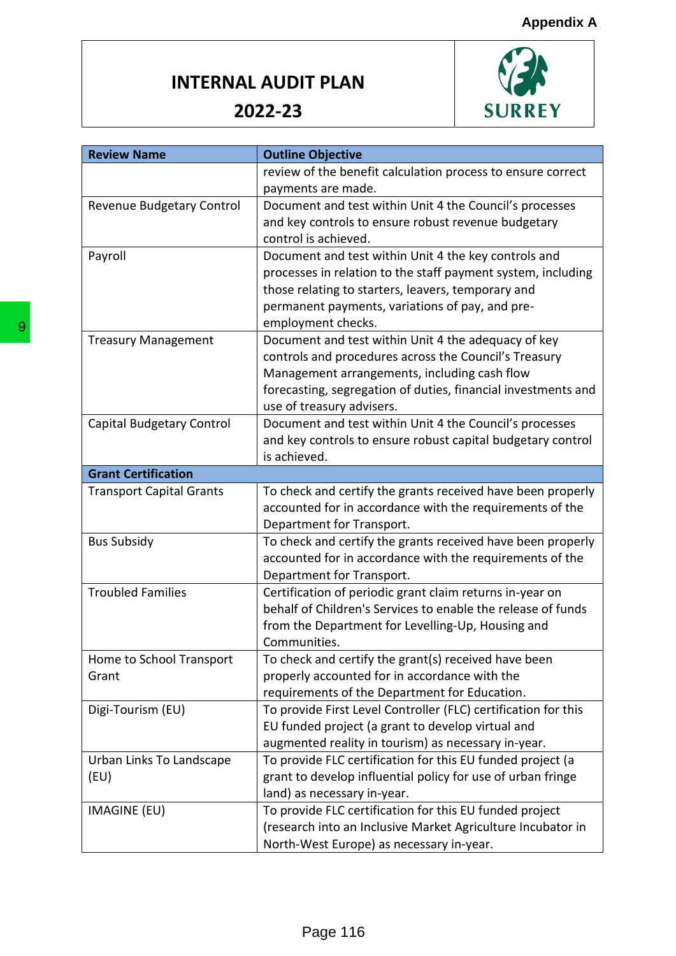

| <b>Review Name</b>              | <b>Outline Objective</b>                                                                                |
|---------------------------------|---------------------------------------------------------------------------------------------------------|
|                                 | review of the benefit calculation process to ensure correct                                             |
|                                 | payments are made.                                                                                      |
| Revenue Budgetary Control       | Document and test within Unit 4 the Council's processes                                                 |
|                                 | and key controls to ensure robust revenue budgetary                                                     |
|                                 | control is achieved.                                                                                    |
| Payroll                         | Document and test within Unit 4 the key controls and                                                    |
|                                 | processes in relation to the staff payment system, including                                            |
|                                 | those relating to starters, leavers, temporary and                                                      |
|                                 | permanent payments, variations of pay, and pre-                                                         |
|                                 | employment checks.                                                                                      |
| <b>Treasury Management</b>      | Document and test within Unit 4 the adequacy of key                                                     |
|                                 | controls and procedures across the Council's Treasury                                                   |
|                                 | Management arrangements, including cash flow                                                            |
|                                 | forecasting, segregation of duties, financial investments and                                           |
|                                 | use of treasury advisers.                                                                               |
| Capital Budgetary Control       | Document and test within Unit 4 the Council's processes                                                 |
|                                 | and key controls to ensure robust capital budgetary control                                             |
|                                 | is achieved.                                                                                            |
| <b>Grant Certification</b>      |                                                                                                         |
| <b>Transport Capital Grants</b> | To check and certify the grants received have been properly                                             |
|                                 | accounted for in accordance with the requirements of the                                                |
|                                 | Department for Transport.                                                                               |
| <b>Bus Subsidy</b>              | To check and certify the grants received have been properly                                             |
|                                 | accounted for in accordance with the requirements of the                                                |
|                                 | Department for Transport.                                                                               |
| <b>Troubled Families</b>        | Certification of periodic grant claim returns in-year on                                                |
|                                 | behalf of Children's Services to enable the release of funds                                            |
|                                 | from the Department for Levelling-Up, Housing and                                                       |
|                                 | Communities.                                                                                            |
| Home to School Transport        | To check and certify the grant(s) received have been                                                    |
| Grant                           | properly accounted for in accordance with the                                                           |
|                                 | requirements of the Department for Education.                                                           |
| Digi-Tourism (EU)               | To provide First Level Controller (FLC) certification for this                                          |
|                                 | EU funded project (a grant to develop virtual and                                                       |
|                                 | augmented reality in tourism) as necessary in-year.                                                     |
| Urban Links To Landscape        | To provide FLC certification for this EU funded project (a                                              |
| (EU)                            | grant to develop influential policy for use of urban fringe                                             |
|                                 | land) as necessary in-year.                                                                             |
|                                 |                                                                                                         |
|                                 |                                                                                                         |
| <b>IMAGINE (EU)</b>             | To provide FLC certification for this EU funded project                                                 |
|                                 | (research into an Inclusive Market Agriculture Incubator in<br>North-West Europe) as necessary in-year. |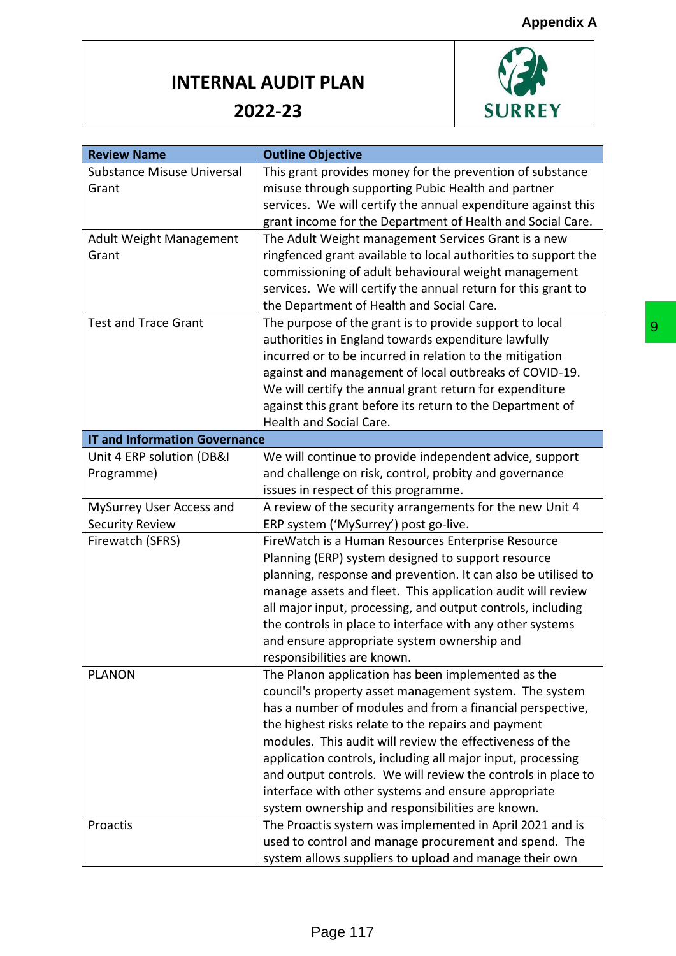

| <b>Review Name</b>                   | <b>Outline Objective</b>                                       |
|--------------------------------------|----------------------------------------------------------------|
| <b>Substance Misuse Universal</b>    | This grant provides money for the prevention of substance      |
| Grant                                | misuse through supporting Pubic Health and partner             |
|                                      | services. We will certify the annual expenditure against this  |
|                                      | grant income for the Department of Health and Social Care.     |
| <b>Adult Weight Management</b>       | The Adult Weight management Services Grant is a new            |
| Grant                                | ringfenced grant available to local authorities to support the |
|                                      | commissioning of adult behavioural weight management           |
|                                      | services. We will certify the annual return for this grant to  |
|                                      | the Department of Health and Social Care.                      |
| <b>Test and Trace Grant</b>          | The purpose of the grant is to provide support to local        |
|                                      | authorities in England towards expenditure lawfully            |
|                                      | incurred or to be incurred in relation to the mitigation       |
|                                      | against and management of local outbreaks of COVID-19.         |
|                                      | We will certify the annual grant return for expenditure        |
|                                      | against this grant before its return to the Department of      |
|                                      | Health and Social Care.                                        |
| <b>IT and Information Governance</b> |                                                                |
| Unit 4 ERP solution (DB&I            | We will continue to provide independent advice, support        |
| Programme)                           | and challenge on risk, control, probity and governance         |
|                                      | issues in respect of this programme.                           |
| MySurrey User Access and             | A review of the security arrangements for the new Unit 4       |
| <b>Security Review</b>               | ERP system ('MySurrey') post go-live.                          |
| Firewatch (SFRS)                     | FireWatch is a Human Resources Enterprise Resource             |
|                                      | Planning (ERP) system designed to support resource             |
|                                      | planning, response and prevention. It can also be utilised to  |
|                                      | manage assets and fleet. This application audit will review    |
|                                      | all major input, processing, and output controls, including    |
|                                      | the controls in place to interface with any other systems      |
|                                      | and ensure appropriate system ownership and                    |
|                                      | responsibilities are known.                                    |
| <b>PLANON</b>                        | The Planon application has been implemented as the             |
|                                      | council's property asset management system. The system         |
|                                      | has a number of modules and from a financial perspective,      |
|                                      | the highest risks relate to the repairs and payment            |
|                                      | modules. This audit will review the effectiveness of the       |
|                                      | application controls, including all major input, processing    |
|                                      | and output controls. We will review the controls in place to   |
|                                      | interface with other systems and ensure appropriate            |
|                                      | system ownership and responsibilities are known.               |
| Proactis                             | The Proactis system was implemented in April 2021 and is       |
|                                      | used to control and manage procurement and spend. The          |
|                                      |                                                                |
|                                      | system allows suppliers to upload and manage their own         |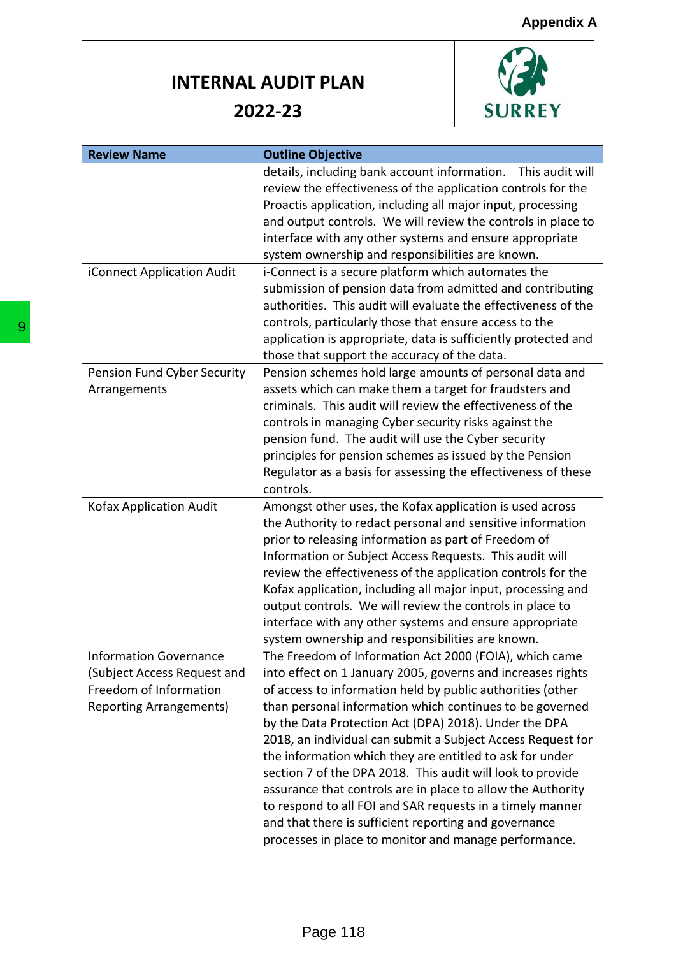

| <b>Review Name</b>             | <b>Outline Objective</b>                                                                                       |
|--------------------------------|----------------------------------------------------------------------------------------------------------------|
|                                | details, including bank account information. This audit will                                                   |
|                                | review the effectiveness of the application controls for the                                                   |
|                                | Proactis application, including all major input, processing                                                    |
|                                | and output controls. We will review the controls in place to                                                   |
|                                | interface with any other systems and ensure appropriate                                                        |
|                                | system ownership and responsibilities are known.                                                               |
| iConnect Application Audit     | i-Connect is a secure platform which automates the                                                             |
|                                | submission of pension data from admitted and contributing                                                      |
|                                | authorities. This audit will evaluate the effectiveness of the                                                 |
|                                | controls, particularly those that ensure access to the                                                         |
|                                | application is appropriate, data is sufficiently protected and                                                 |
|                                | those that support the accuracy of the data.                                                                   |
| Pension Fund Cyber Security    | Pension schemes hold large amounts of personal data and                                                        |
| Arrangements                   | assets which can make them a target for fraudsters and                                                         |
|                                | criminals. This audit will review the effectiveness of the                                                     |
|                                | controls in managing Cyber security risks against the                                                          |
|                                | pension fund. The audit will use the Cyber security<br>principles for pension schemes as issued by the Pension |
|                                | Regulator as a basis for assessing the effectiveness of these                                                  |
|                                | controls.                                                                                                      |
| Kofax Application Audit        | Amongst other uses, the Kofax application is used across                                                       |
|                                | the Authority to redact personal and sensitive information                                                     |
|                                | prior to releasing information as part of Freedom of                                                           |
|                                | Information or Subject Access Requests. This audit will                                                        |
|                                | review the effectiveness of the application controls for the                                                   |
|                                | Kofax application, including all major input, processing and                                                   |
|                                | output controls. We will review the controls in place to                                                       |
|                                | interface with any other systems and ensure appropriate                                                        |
|                                | system ownership and responsibilities are known.                                                               |
| Information Governance         | The Freedom of Information Act 2000 (FOIA), which came                                                         |
| (Subject Access Request and    | into effect on 1 January 2005, governs and increases rights                                                    |
| Freedom of Information         | of access to information held by public authorities (other                                                     |
| <b>Reporting Arrangements)</b> | than personal information which continues to be governed                                                       |
|                                | by the Data Protection Act (DPA) 2018). Under the DPA                                                          |
|                                | 2018, an individual can submit a Subject Access Request for                                                    |
|                                | the information which they are entitled to ask for under                                                       |
|                                | section 7 of the DPA 2018. This audit will look to provide                                                     |
|                                | assurance that controls are in place to allow the Authority                                                    |
|                                | to respond to all FOI and SAR requests in a timely manner                                                      |
|                                | and that there is sufficient reporting and governance                                                          |
|                                |                                                                                                                |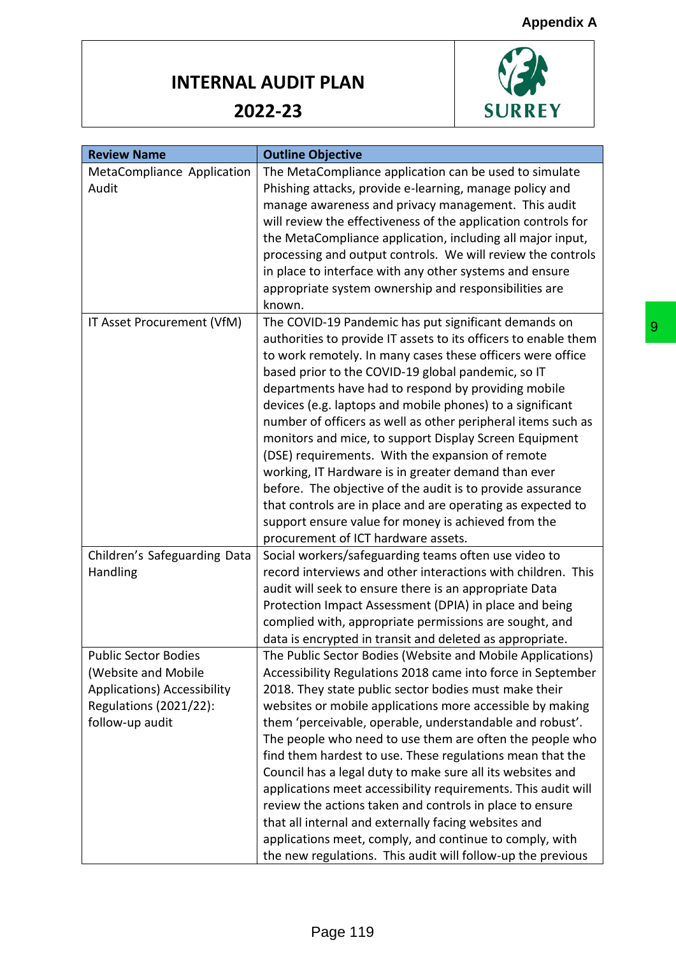

| <b>Review Name</b>                 | <b>Outline Objective</b>                                        |
|------------------------------------|-----------------------------------------------------------------|
| MetaCompliance Application         | The MetaCompliance application can be used to simulate          |
| Audit                              | Phishing attacks, provide e-learning, manage policy and         |
|                                    | manage awareness and privacy management. This audit             |
|                                    | will review the effectiveness of the application controls for   |
|                                    | the MetaCompliance application, including all major input,      |
|                                    | processing and output controls. We will review the controls     |
|                                    | in place to interface with any other systems and ensure         |
|                                    | appropriate system ownership and responsibilities are           |
|                                    | known.                                                          |
| IT Asset Procurement (VfM)         | The COVID-19 Pandemic has put significant demands on            |
|                                    | authorities to provide IT assets to its officers to enable them |
|                                    | to work remotely. In many cases these officers were office      |
|                                    | based prior to the COVID-19 global pandemic, so IT              |
|                                    | departments have had to respond by providing mobile             |
|                                    | devices (e.g. laptops and mobile phones) to a significant       |
|                                    | number of officers as well as other peripheral items such as    |
|                                    | monitors and mice, to support Display Screen Equipment          |
|                                    | (DSE) requirements. With the expansion of remote                |
|                                    | working, IT Hardware is in greater demand than ever             |
|                                    | before. The objective of the audit is to provide assurance      |
|                                    | that controls are in place and are operating as expected to     |
|                                    | support ensure value for money is achieved from the             |
|                                    | procurement of ICT hardware assets.                             |
| Children's Safeguarding Data       | Social workers/safeguarding teams often use video to            |
| Handling                           | record interviews and other interactions with children. This    |
|                                    | audit will seek to ensure there is an appropriate Data          |
|                                    | Protection Impact Assessment (DPIA) in place and being          |
|                                    | complied with, appropriate permissions are sought, and          |
|                                    | data is encrypted in transit and deleted as appropriate.        |
| <b>Public Sector Bodies</b>        | The Public Sector Bodies (Website and Mobile Applications)      |
| (Website and Mobile                | Accessibility Regulations 2018 came into force in September     |
| <b>Applications) Accessibility</b> | 2018. They state public sector bodies must make their           |
| Regulations (2021/22):             | websites or mobile applications more accessible by making       |
| follow-up audit                    | them 'perceivable, operable, understandable and robust'.        |
|                                    | The people who need to use them are often the people who        |
|                                    | find them hardest to use. These regulations mean that the       |
|                                    | Council has a legal duty to make sure all its websites and      |
|                                    | applications meet accessibility requirements. This audit will   |
|                                    | review the actions taken and controls in place to ensure        |
|                                    | that all internal and externally facing websites and            |
|                                    | applications meet, comply, and continue to comply, with         |
|                                    | the new regulations. This audit will follow-up the previous     |
|                                    |                                                                 |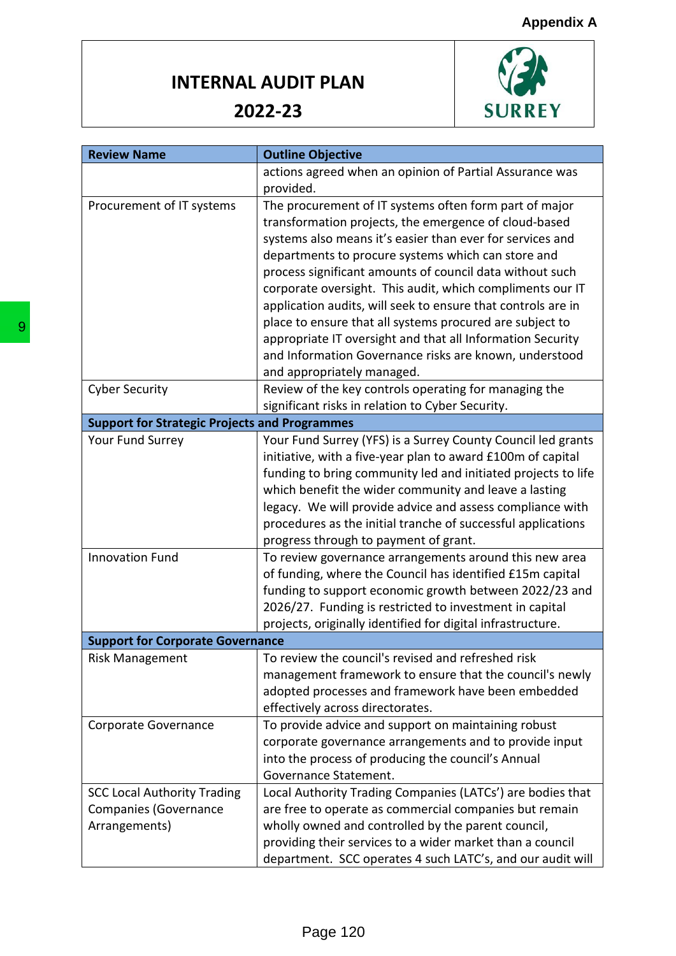

|                                                      | <b>Outline Objective</b>                                      |
|------------------------------------------------------|---------------------------------------------------------------|
|                                                      | actions agreed when an opinion of Partial Assurance was       |
|                                                      | provided.                                                     |
| Procurement of IT systems                            | The procurement of IT systems often form part of major        |
|                                                      | transformation projects, the emergence of cloud-based         |
|                                                      | systems also means it's easier than ever for services and     |
|                                                      | departments to procure systems which can store and            |
|                                                      | process significant amounts of council data without such      |
|                                                      | corporate oversight. This audit, which compliments our IT     |
|                                                      | application audits, will seek to ensure that controls are in  |
|                                                      | place to ensure that all systems procured are subject to      |
|                                                      | appropriate IT oversight and that all Information Security    |
|                                                      | and Information Governance risks are known, understood        |
|                                                      | and appropriately managed.                                    |
| <b>Cyber Security</b>                                | Review of the key controls operating for managing the         |
|                                                      | significant risks in relation to Cyber Security.              |
| <b>Support for Strategic Projects and Programmes</b> |                                                               |
| Your Fund Surrey                                     | Your Fund Surrey (YFS) is a Surrey County Council led grants  |
|                                                      | initiative, with a five-year plan to award £100m of capital   |
|                                                      | funding to bring community led and initiated projects to life |
|                                                      | which benefit the wider community and leave a lasting         |
|                                                      | legacy. We will provide advice and assess compliance with     |
|                                                      | procedures as the initial tranche of successful applications  |
|                                                      | progress through to payment of grant.                         |
| <b>Innovation Fund</b>                               | To review governance arrangements around this new area        |
|                                                      | of funding, where the Council has identified £15m capital     |
|                                                      | funding to support economic growth between 2022/23 and        |
|                                                      | 2026/27. Funding is restricted to investment in capital       |
|                                                      | projects, originally identified for digital infrastructure.   |
| <b>Support for Corporate Governance</b>              |                                                               |
| <b>Risk Management</b>                               | To review the council's revised and refreshed risk            |
|                                                      | management framework to ensure that the council's newly       |
|                                                      | adopted processes and framework have been embedded            |
|                                                      | effectively across directorates.                              |
| Corporate Governance                                 | To provide advice and support on maintaining robust           |
|                                                      | corporate governance arrangements and to provide input        |
|                                                      | into the process of producing the council's Annual            |
|                                                      | Governance Statement.                                         |
| <b>SCC Local Authority Trading</b>                   | Local Authority Trading Companies (LATCs') are bodies that    |
| <b>Companies (Governance</b>                         | are free to operate as commercial companies but remain        |
| Arrangements)                                        | wholly owned and controlled by the parent council,            |
|                                                      | providing their services to a wider market than a council     |
|                                                      | department. SCC operates 4 such LATC's, and our audit will    |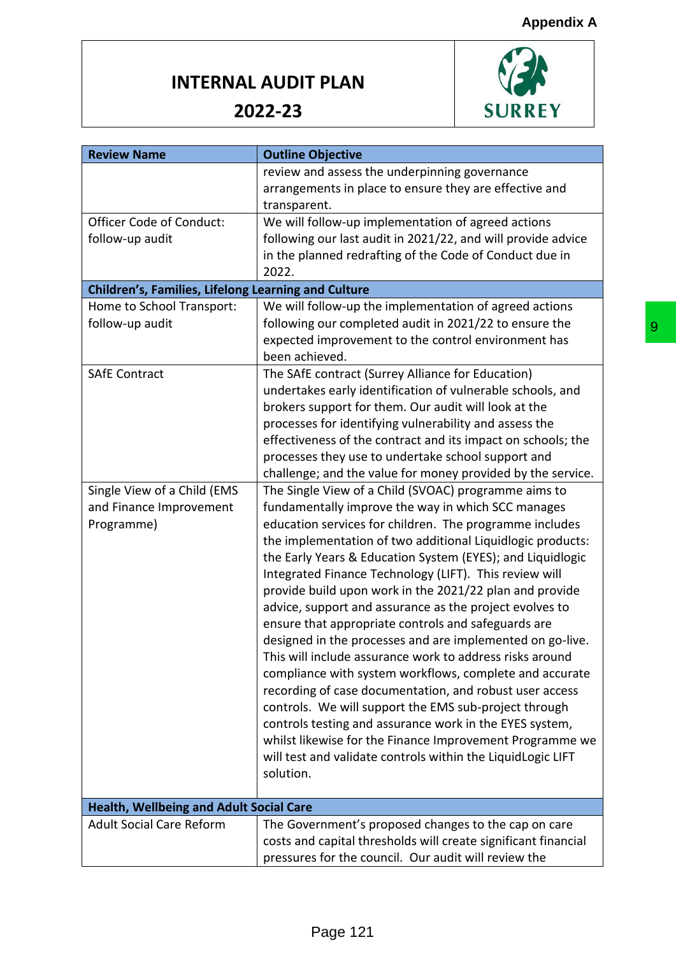

| <b>Review Name</b>                                  | <b>Outline Objective</b>                                       |
|-----------------------------------------------------|----------------------------------------------------------------|
|                                                     | review and assess the underpinning governance                  |
|                                                     | arrangements in place to ensure they are effective and         |
|                                                     | transparent.                                                   |
| <b>Officer Code of Conduct:</b>                     | We will follow-up implementation of agreed actions             |
| follow-up audit                                     | following our last audit in 2021/22, and will provide advice   |
|                                                     | in the planned redrafting of the Code of Conduct due in        |
|                                                     | 2022.                                                          |
| Children's, Families, Lifelong Learning and Culture |                                                                |
| Home to School Transport:                           | We will follow-up the implementation of agreed actions         |
| follow-up audit                                     | following our completed audit in 2021/22 to ensure the         |
|                                                     | expected improvement to the control environment has            |
|                                                     | been achieved.                                                 |
| <b>SAfE Contract</b>                                | The SAfE contract (Surrey Alliance for Education)              |
|                                                     | undertakes early identification of vulnerable schools, and     |
|                                                     | brokers support for them. Our audit will look at the           |
|                                                     | processes for identifying vulnerability and assess the         |
|                                                     | effectiveness of the contract and its impact on schools; the   |
|                                                     | processes they use to undertake school support and             |
|                                                     | challenge; and the value for money provided by the service.    |
| Single View of a Child (EMS                         | The Single View of a Child (SVOAC) programme aims to           |
| and Finance Improvement                             | fundamentally improve the way in which SCC manages             |
| Programme)                                          | education services for children. The programme includes        |
|                                                     | the implementation of two additional Liquidlogic products:     |
|                                                     | the Early Years & Education System (EYES); and Liquidlogic     |
|                                                     | Integrated Finance Technology (LIFT). This review will         |
|                                                     | provide build upon work in the 2021/22 plan and provide        |
|                                                     | advice, support and assurance as the project evolves to        |
|                                                     | ensure that appropriate controls and safeguards are            |
|                                                     | designed in the processes and are implemented on go-live.      |
|                                                     | This will include assurance work to address risks around       |
|                                                     | compliance with system workflows, complete and accurate        |
|                                                     | recording of case documentation, and robust user access        |
|                                                     | controls. We will support the EMS sub-project through          |
|                                                     | controls testing and assurance work in the EYES system,        |
|                                                     | whilst likewise for the Finance Improvement Programme we       |
|                                                     | will test and validate controls within the LiquidLogic LIFT    |
|                                                     | solution.                                                      |
|                                                     |                                                                |
| <b>Health, Wellbeing and Adult Social Care</b>      |                                                                |
| <b>Adult Social Care Reform</b>                     | The Government's proposed changes to the cap on care           |
|                                                     | costs and capital thresholds will create significant financial |
|                                                     | pressures for the council. Our audit will review the           |
|                                                     |                                                                |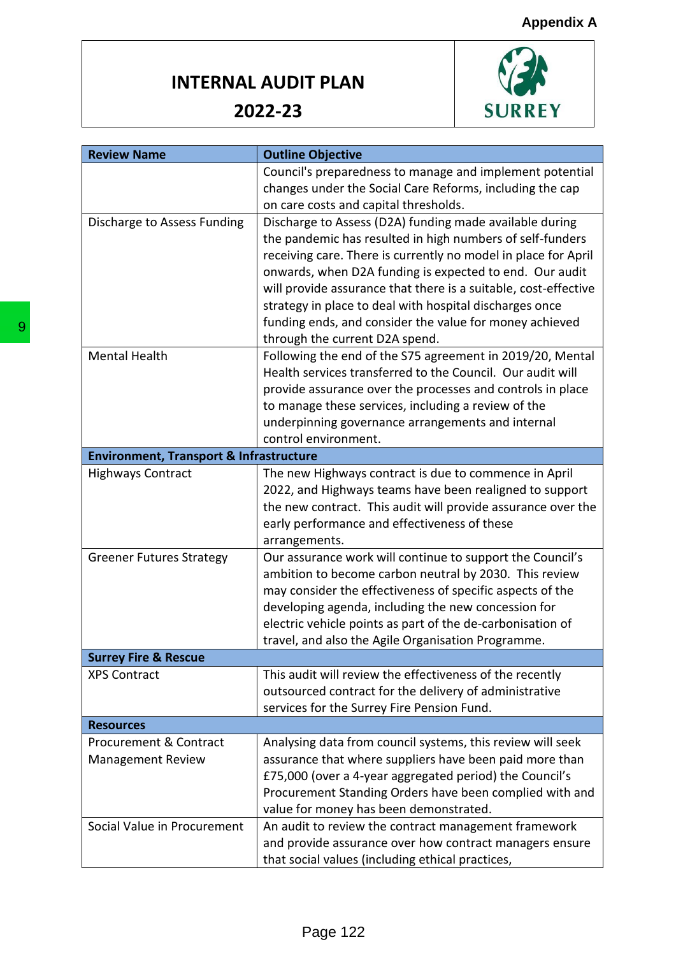

| <b>Review Name</b>                                 | <b>Outline Objective</b>                                                                                                                                                                                                                                                              |
|----------------------------------------------------|---------------------------------------------------------------------------------------------------------------------------------------------------------------------------------------------------------------------------------------------------------------------------------------|
|                                                    | Council's preparedness to manage and implement potential                                                                                                                                                                                                                              |
|                                                    | changes under the Social Care Reforms, including the cap                                                                                                                                                                                                                              |
|                                                    | on care costs and capital thresholds.                                                                                                                                                                                                                                                 |
| Discharge to Assess Funding                        | Discharge to Assess (D2A) funding made available during                                                                                                                                                                                                                               |
|                                                    | the pandemic has resulted in high numbers of self-funders                                                                                                                                                                                                                             |
|                                                    | receiving care. There is currently no model in place for April                                                                                                                                                                                                                        |
|                                                    | onwards, when D2A funding is expected to end. Our audit                                                                                                                                                                                                                               |
|                                                    | will provide assurance that there is a suitable, cost-effective                                                                                                                                                                                                                       |
|                                                    | strategy in place to deal with hospital discharges once                                                                                                                                                                                                                               |
|                                                    | funding ends, and consider the value for money achieved                                                                                                                                                                                                                               |
|                                                    | through the current D2A spend.                                                                                                                                                                                                                                                        |
| <b>Mental Health</b>                               | Following the end of the S75 agreement in 2019/20, Mental                                                                                                                                                                                                                             |
|                                                    | Health services transferred to the Council. Our audit will                                                                                                                                                                                                                            |
|                                                    | provide assurance over the processes and controls in place                                                                                                                                                                                                                            |
|                                                    | to manage these services, including a review of the                                                                                                                                                                                                                                   |
|                                                    | underpinning governance arrangements and internal                                                                                                                                                                                                                                     |
|                                                    | control environment.                                                                                                                                                                                                                                                                  |
|                                                    |                                                                                                                                                                                                                                                                                       |
| <b>Environment, Transport &amp; Infrastructure</b> |                                                                                                                                                                                                                                                                                       |
| <b>Highways Contract</b>                           | The new Highways contract is due to commence in April                                                                                                                                                                                                                                 |
|                                                    | 2022, and Highways teams have been realigned to support                                                                                                                                                                                                                               |
|                                                    | the new contract. This audit will provide assurance over the                                                                                                                                                                                                                          |
|                                                    | early performance and effectiveness of these                                                                                                                                                                                                                                          |
|                                                    | arrangements.                                                                                                                                                                                                                                                                         |
| <b>Greener Futures Strategy</b>                    | Our assurance work will continue to support the Council's                                                                                                                                                                                                                             |
|                                                    | ambition to become carbon neutral by 2030. This review                                                                                                                                                                                                                                |
|                                                    | may consider the effectiveness of specific aspects of the                                                                                                                                                                                                                             |
|                                                    | developing agenda, including the new concession for                                                                                                                                                                                                                                   |
|                                                    | electric vehicle points as part of the de-carbonisation of                                                                                                                                                                                                                            |
|                                                    | travel, and also the Agile Organisation Programme.                                                                                                                                                                                                                                    |
|                                                    |                                                                                                                                                                                                                                                                                       |
| <b>Surrey Fire &amp; Rescue</b>                    |                                                                                                                                                                                                                                                                                       |
| <b>XPS Contract</b>                                | This audit will review the effectiveness of the recently                                                                                                                                                                                                                              |
|                                                    | outsourced contract for the delivery of administrative                                                                                                                                                                                                                                |
|                                                    | services for the Surrey Fire Pension Fund.                                                                                                                                                                                                                                            |
| <b>Resources</b>                                   |                                                                                                                                                                                                                                                                                       |
| <b>Procurement &amp; Contract</b>                  |                                                                                                                                                                                                                                                                                       |
| <b>Management Review</b>                           |                                                                                                                                                                                                                                                                                       |
|                                                    |                                                                                                                                                                                                                                                                                       |
|                                                    |                                                                                                                                                                                                                                                                                       |
|                                                    |                                                                                                                                                                                                                                                                                       |
|                                                    | Analysing data from council systems, this review will seek<br>assurance that where suppliers have been paid more than<br>£75,000 (over a 4-year aggregated period) the Council's<br>Procurement Standing Orders have been complied with and<br>value for money has been demonstrated. |
| Social Value in Procurement                        | An audit to review the contract management framework                                                                                                                                                                                                                                  |
|                                                    | and provide assurance over how contract managers ensure<br>that social values (including ethical practices,                                                                                                                                                                           |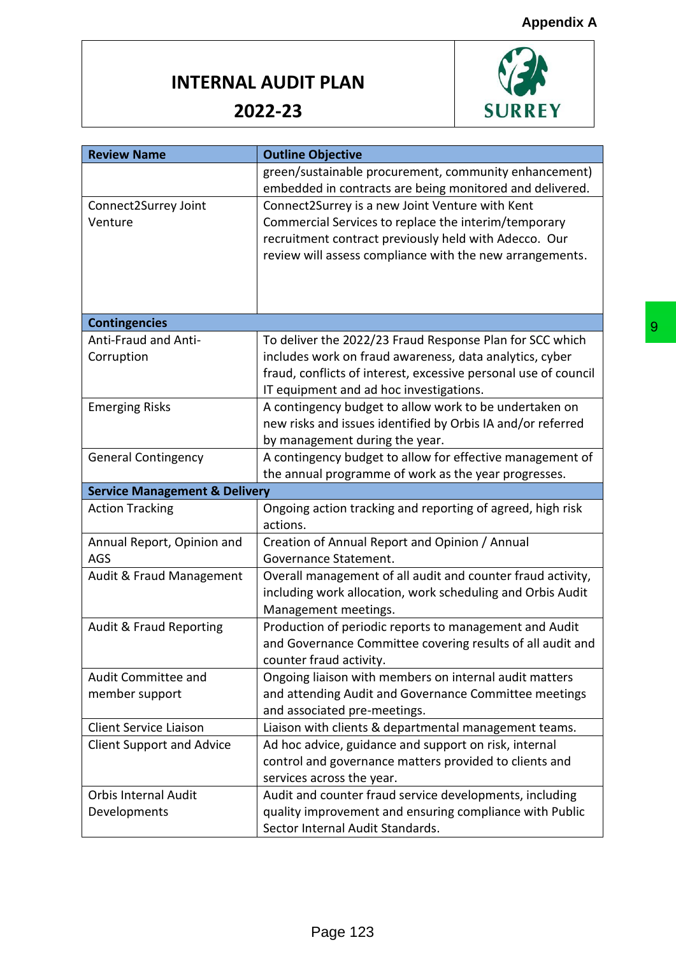#### **Appendix A**

#### **INTERNAL AUDIT PLAN**



| <b>Review Name</b>                       | <b>Outline Objective</b>                                        |
|------------------------------------------|-----------------------------------------------------------------|
|                                          | green/sustainable procurement, community enhancement)           |
|                                          | embedded in contracts are being monitored and delivered.        |
| Connect2Surrey Joint                     | Connect2Surrey is a new Joint Venture with Kent                 |
| Venture                                  | Commercial Services to replace the interim/temporary            |
|                                          | recruitment contract previously held with Adecco. Our           |
|                                          | review will assess compliance with the new arrangements.        |
|                                          |                                                                 |
|                                          |                                                                 |
|                                          |                                                                 |
| <b>Contingencies</b>                     |                                                                 |
| Anti-Fraud and Anti-                     | To deliver the 2022/23 Fraud Response Plan for SCC which        |
| Corruption                               | includes work on fraud awareness, data analytics, cyber         |
|                                          | fraud, conflicts of interest, excessive personal use of council |
|                                          | IT equipment and ad hoc investigations.                         |
| <b>Emerging Risks</b>                    | A contingency budget to allow work to be undertaken on          |
|                                          | new risks and issues identified by Orbis IA and/or referred     |
|                                          | by management during the year.                                  |
| <b>General Contingency</b>               | A contingency budget to allow for effective management of       |
|                                          | the annual programme of work as the year progresses.            |
| <b>Service Management &amp; Delivery</b> |                                                                 |
| <b>Action Tracking</b>                   | Ongoing action tracking and reporting of agreed, high risk      |
|                                          | actions.                                                        |
| Annual Report, Opinion and               | Creation of Annual Report and Opinion / Annual                  |
| AGS                                      | Governance Statement.                                           |
| Audit & Fraud Management                 | Overall management of all audit and counter fraud activity,     |
|                                          | including work allocation, work scheduling and Orbis Audit      |
|                                          | Management meetings.                                            |
| <b>Audit &amp; Fraud Reporting</b>       | Production of periodic reports to management and Audit          |
|                                          | and Governance Committee covering results of all audit and      |
|                                          | counter fraud activity.                                         |
| Audit Committee and                      | Ongoing liaison with members on internal audit matters          |
| member support                           | and attending Audit and Governance Committee meetings           |
|                                          | and associated pre-meetings.                                    |
| <b>Client Service Liaison</b>            | Liaison with clients & departmental management teams.           |
| <b>Client Support and Advice</b>         | Ad hoc advice, guidance and support on risk, internal           |
|                                          | control and governance matters provided to clients and          |
|                                          | services across the year.                                       |
| <b>Orbis Internal Audit</b>              | Audit and counter fraud service developments, including         |
| Developments                             | quality improvement and ensuring compliance with Public         |
|                                          | Sector Internal Audit Standards.                                |
|                                          |                                                                 |